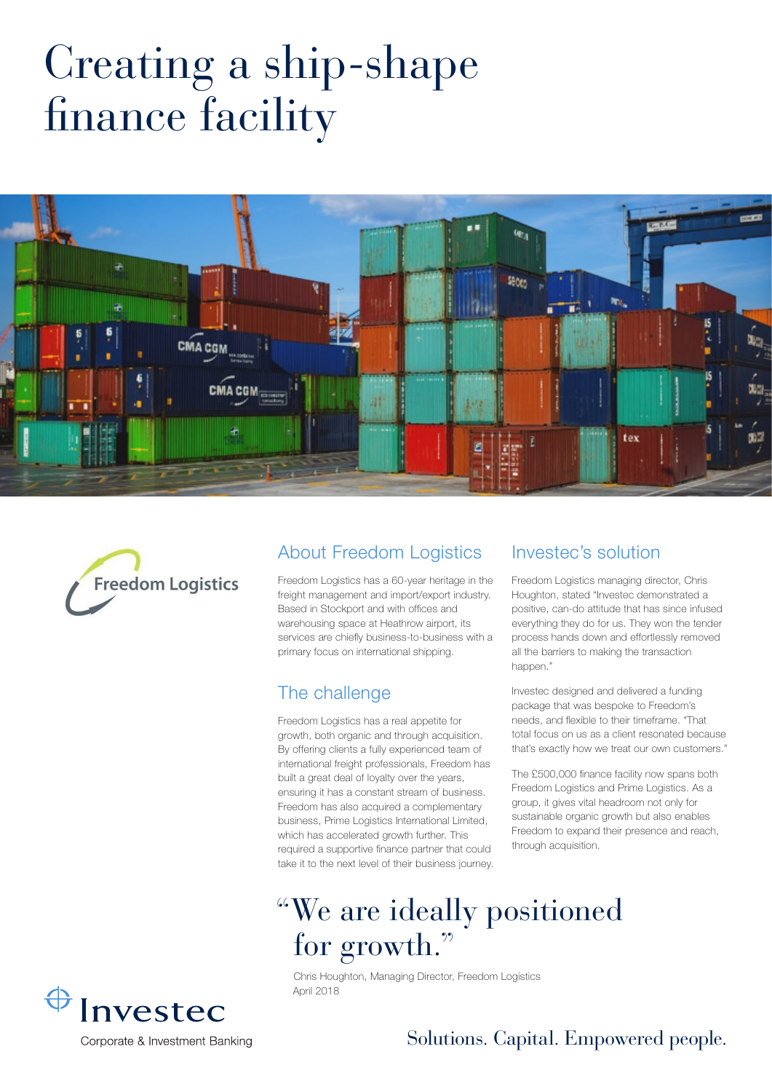# Creating a ship-shape finance facility





#### About Freedom Logistics

Freedom Logistics has a 60-year heritage in the freight management and import/export industry. Based in Stockport and with offices and warehousing space at Heathrow airport, its services are chiefly business-to-business with a primary focus on international shipping.

#### The challenge

Freedom Logistics has a real appetite for growth, both organic and through acquisition. By offering clients a fully experienced team of international freight professionals, Freedom has built a great deal of loyalty over the years, ensuring it has a constant stream of business. Freedom has also acquired a complementary business, Prime Logistics International Limited, which has accelerated growth further. This required a supportive finance partner that could take it to the next level of their business journey.

#### Investec's solution

Freedom Logistics managing director, Chris Houghton, stated "Investec demonstrated a positive, can-do attitude that has since infused everything they do for us. They won the tender process hands down and effortlessly removed all the barriers to making the transaction happen."

Investec designed and delivered a funding package that was bespoke to Freedom's needs, and flexible to their timeframe. "That total focus on us as a client resonated because that's exactly how we treat our own customers."

The £500,000 finance facility now spans both Freedom Logistics and Prime Logistics. As a group, it gives vital headroom not only for sustainable organic growth but also enables Freedom to expand their presence and reach, through acquisition.

## "We are ideally positioned for growth."

Chris Houghton, Managing Director, Freedom Logistics April 2018



#### Solutions. Capital. Empowered people.